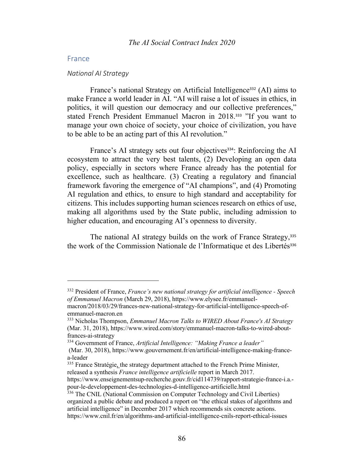# France

#### *National AI Strategy*

France's national Strategy on Artificial Intelligence<sup>332</sup> (AI) aims to make France a world leader in AI. "AI will raise a lot of issues in ethics, in politics, it will question our democracy and our collective preferences," stated French President Emmanuel Macron in 2018.<sup>333</sup> "If you want to manage your own choice of society, your choice of civilization, you have to be able to be an acting part of this AI revolution."

France's AI strategy sets out four objectives<sup>334</sup>: Reinforcing the AI ecosystem to attract the very best talents, (2) Developing an open data policy, especially in sectors where France already has the potential for excellence, such as healthcare. (3) Creating a regulatory and financial framework favoring the emergence of "AI champions", and (4) Promoting AI regulation and ethics, to ensure to high standard and acceptability for citizens. This includes supporting human sciences research on ethics of use, making all algorithms used by the State public, including admission to higher education, and encouraging AI's openness to diversity.

The national AI strategy builds on the work of France Strategy,<sup>335</sup> the work of the Commission Nationale de l'Informatique et des Libertés<sup>336</sup>

<sup>332</sup> President of France, *France's new national strategy for artificial intelligence - Speech of Emmanuel Macron* (March 29, 2018), https://www.elysee.fr/emmanuel-

macron/2018/03/29/frances-new-national-strategy-for-artificial-intelligence-speech-ofemmanuel-macron.en

<sup>333</sup> Nicholas Thompson, *Emmanuel Macron Talks to WIRED About France's AI Strategy*  (Mar. 31, 2018), https://www.wired.com/story/emmanuel-macron-talks-to-wired-aboutfrances-ai-strategy

<sup>334</sup> Government of France, *Artificial Intelligence: "Making France a leader"*

<sup>(</sup>Mar. 30, 2018), https://www.gouvernement.fr/en/artificial-intelligence-making-francea-leader

<sup>&</sup>lt;sup>335</sup> France Stratégie, the strategy department attached to the French Prime Minister, released a synthesis *France intelligence artificielle* report in March 2017.

https://www.enseignementsup-recherche.gouv.fr/cid114739/rapport-strategie-france-i.a. pour-le-developpement-des-technologies-d-intelligence-artificielle.html

<sup>&</sup>lt;sup>336</sup> The CNIL (National Commission on Computer Technology and Civil Liberties) organized a public debate and produced a report on "the ethical stakes of algorithms and artificial intelligence" in December 2017 which recommends six concrete actions. https://www.cnil.fr/en/algorithms-and-artificial-intelligence-cnils-report-ethical-issues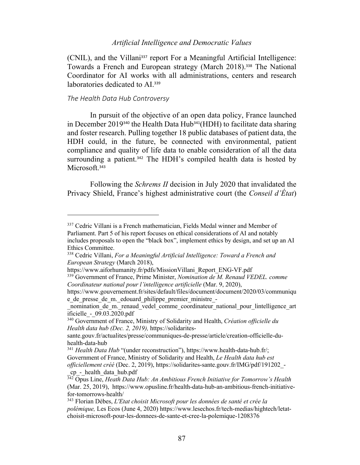(CNIL), and the Villani<sup>337</sup> report For a Meaningful Artificial Intelligence: Towards a French and European strategy (March 2018).<sup>338</sup> The National Coordinator for AI works with all administrations, centers and research laboratories dedicated to AI.<sup>339</sup>

### *The Health Data Hub Controversy*

In pursuit of the objective of an open data policy, France launched in December 2019<sup>340</sup> the Health Data Hub<sup>341</sup>(HDH) to facilitate data sharing and foster research. Pulling together 18 public databases of patient data, the HDH could, in the future, be connected with environmental, patient compliance and quality of life data to enable consideration of all the data surrounding a patient.<sup>342</sup> The HDH's compiled health data is hosted by Microsoft.<sup>343</sup>

Following the *Schrems II* decision in July 2020 that invalidated the Privacy Shield, France's highest administrative court (the *Conseil d'État*)

<sup>337</sup> Cedric Villani is a French mathematician, Fields Medal winner and Member of Parliament. Part 5 of his report focuses on ethical considerations of AI and notably includes proposals to open the "black box", implement ethics by design, and set up an AI Ethics Committee.

<sup>338</sup> Cedric Villani, *For a Meaningful Artificial Intelligence: Toward a French and European Strategy* (March 2018),

https://www.aiforhumanity.fr/pdfs/MissionVillani\_Report\_ENG-VF.pdf

<sup>339</sup> Government of France, Prime Minister, *Nomination de M. Renaud VEDEL. comme Coordinateur national pour l'intelligence artificielle* (Mar. 9, 2020),

https://www.gouvernement.fr/sites/default/files/document/document/2020/03/communiqu e\_de\_presse\_de\_m.\_edouard\_philippe\_premier\_ministre\_-

nomination de m. renaud vedel comme coordinateur national pour lintelligence art ificielle\_-\_09.03.2020.pdf

<sup>340</sup> Government of France, Ministry of Solidarity and Health, *Création officielle du Health data hub (Dec. 2, 2019),* https://solidarites-

sante.gouv.fr/actualites/presse/communiques-de-presse/article/creation-officielle-duhealth-data-hub

<sup>&</sup>lt;sup>341</sup> *Health Data Hub* "(under reconstruction"), https://www.health-data-hub.fr/; Government of France, Ministry of Solidarity and Health, *Le Health data hub est officiellement créé* (Dec. 2, 2019), https://solidarites-sante.gouv.fr/IMG/pdf/191202\_- \_cp\_-\_health\_data\_hub.pdf

<sup>342</sup> Opus Line, *Heath Data Hub: An Ambitious French Initiative for Tomorrow's Health* (Mar. 25, 2019), https://www.opusline.fr/health-data-hub-an-ambitious-french-initiativefor-tomorrows-health/

<sup>343</sup> Florian Dèbes, *L'Etat choisit Microsoft pour les données de santé et crée la polémique,* Les Ecos (June 4, 2020) https://www.lesechos.fr/tech-medias/hightech/letatchoisit-microsoft-pour-les-donnees-de-sante-et-cree-la-polemique-1208376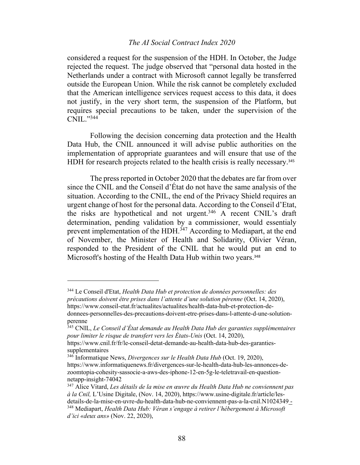considered a request for the suspension of the HDH. In October, the Judge rejected the request. The judge observed that "personal data hosted in the Netherlands under a contract with Microsoft cannot legally be transferred outside the European Union. While the risk cannot be completely excluded that the American intelligence services request access to this data, it does not justify, in the very short term, the suspension of the Platform, but requires special precautions to be taken, under the supervision of the CNIL."344

Following the decision concerning data protection and the Health Data Hub, the CNIL announced it will advise public authorities on the implementation of appropriate guarantees and will ensure that use of the HDH for research projects related to the health crisis is really necessary.<sup>345</sup>

The press reported in October 2020 that the debates are far from over since the CNIL and the Conseil d'État do not have the same analysis of the situation. According to the CNIL, the end of the Privacy Shield requires an urgent change of host for the personal data. According to the Conseil d'Etat, the risks are hypothetical and not urgent.346 A recent CNIL's draft determination, pending validation by a commissioner, would essentialy prevent implementation of the HDH.<sup>347</sup> According to Mediapart, at the end of November, the Minister of Health and Solidarity, Olivier Véran, responded to the President of the CNIL that he would put an end to Microsoft's hosting of the Health Data Hub within two years.<sup>348</sup>

<sup>344</sup> Le Conseil d'Etat, *Health Data Hub et protection de données personnelles: des précautions doivent être prises dans l'attente d'une solution pérenne* (Oct. 14, 2020), https://www.conseil-etat.fr/actualites/actualites/health-data-hub-et-protection-dedonnees-personnelles-des-precautions-doivent-etre-prises-dans-l-attente-d-une-solution-

perenne

<sup>345</sup> CNIL, *Le Conseil d'État demande au Health Data Hub des garanties supplémentaires pour limiter le risque de transfert vers les États-Unis* (Oct. 14, 2020),

https://www.cnil.fr/fr/le-conseil-detat-demande-au-health-data-hub-des-garantiessupplementaires

<sup>346</sup> Informatique News, *Divergences sur le Health Data Hub* (Oct. 19, 2020), https://www.informatiquenews.fr/divergences-sur-le-health-data-hub-les-annonces-dezoomtopia-cohesity-sassocie-a-aws-des-iphone-12-en-5g-le-teletravail-en-questionnetapp-insight-74042

<sup>347</sup> Alice Vitard, *Les détails de la mise en œuvre du Health Data Hub ne conviennent pas à la Cnil,* L'Usine Digitale, (Nov. 14, 2020), https://www.usine-digitale.fr/article/lesdetails-de-la-mise-en-uvre-du-health-data-hub-ne-conviennent-pas-a-la-cnil.N1024349 - <sup>348</sup> Mediapart, *Health Data Hub: Véran s'engage à retirer l'hébergement à Microsoft d'ici «deux ans»* (Nov. 22, 2020),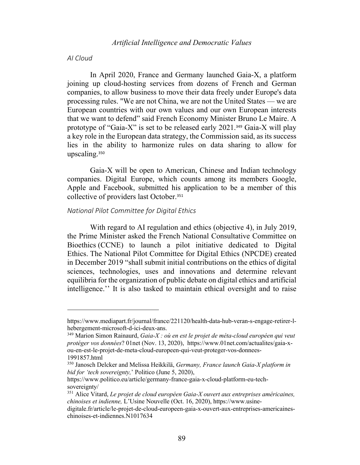### *AI Cloud*

In April 2020, France and Germany launched Gaia-X, a platform joining up cloud-hosting services from dozens of French and German companies, to allow business to move their data freely under Europe's data processing rules. "We are not China, we are not the United States — we are European countries with our own values and our own European interests that we want to defend" said French Economy Minister Bruno Le Maire. A prototype of "Gaia-X" is set to be released early 2021. <sup>349</sup> Gaia-X will play a key role in the European data strategy, the Commission said, as its success lies in the ability to harmonize rules on data sharing to allow for upscaling.<sup>350</sup>

Gaia-X will be open to American, Chinese and Indian technology companies. Digital Europe, which counts among its members Google, Apple and Facebook, submitted his application to be a member of this collective of providers last October. 351

### *National Pilot Committee for Digital Ethics*

With regard to AI regulation and ethics (objective 4), in July 2019, the Prime Minister asked the French National Consultative Committee on Bioethics (CCNE) to launch a pilot initiative dedicated to Digital Ethics. The National Pilot Committee for Digital Ethics (NPCDE) created in December 2019 "shall submit initial contributions on the ethics of digital sciences, technologies, uses and innovations and determine relevant equilibria for the organization of public debate on digital ethics and artificial intelligence.'' It is also tasked to maintain ethical oversight and to raise

https://www.mediapart.fr/journal/france/221120/health-data-hub-veran-s-engage-retirer-lhebergement-microsoft-d-ici-deux-ans.

<sup>349</sup> Marion Simon Rainaurd, *Gaia-X : où en est le projet de méta-cloud européen qui veut protéger vos données*? 01net (Nov. 13, 2020), https://www.01net.com/actualites/gaia-xou-en-est-le-projet-de-meta-cloud-europeen-qui-veut-proteger-vos-donnees-1991857.html

<sup>350</sup> Janosch Delcker and Melissa Heikkilä, *Germany, France launch Gaia-X platform in bid for 'tech sovereignty,*' Politico (June 5, 2020),

https://www.politico.eu/article/germany-france-gaia-x-cloud-platform-eu-techsovereignty/

<sup>351</sup> Alice Vitard, *Le projet de cloud européen Gaia-X ouvert aux entreprises américaines, chinoises et indienne,* L'Usine Nouvelle (Oct. 16, 2020), https://www.usine-

digitale.fr/article/le-projet-de-cloud-europeen-gaia-x-ouvert-aux-entreprises-americaineschinoises-et-indiennes.N1017634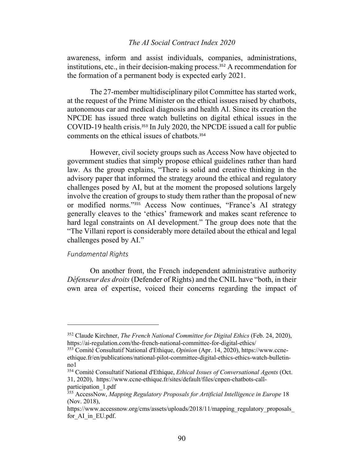awareness, inform and assist individuals, companies, administrations, institutions, etc., in their decision-making process.<sup>352</sup> A recommendation for the formation of a permanent body is expected early 2021.

The 27-member multidisciplinary pilot Committee has started work, at the request of the Prime Minister on the ethical issues raised by chatbots, autonomous car and medical diagnosis and health AI. Since its creation the NPCDE has issued three watch bulletins on digital ethical issues in the COVID-19 health crisis. <sup>353</sup> In July 2020, the NPCDE issued a call for public comments on the ethical issues of chatbots. 354

However, civil society groups such as Access Now have objected to government studies that simply propose ethical guidelines rather than hard law. As the group explains, "There is solid and creative thinking in the advisory paper that informed the strategy around the ethical and regulatory challenges posed by AI, but at the moment the proposed solutions largely involve the creation of groups to study them rather than the proposal of new or modified norms."<sup>355</sup> Access Now continues, "France's AI strategy generally cleaves to the 'ethics' framework and makes scant reference to hard legal constraints on AI development." The group does note that the "The Villani report is considerably more detailed about the ethical and legal challenges posed by AI."

#### *Fundamental Rights*

On another front, the French independent administrative authority *Défenseur des droits* (Defender of Rights) and the CNIL have "both, in their own area of expertise, voiced their concerns regarding the impact of

<sup>352</sup> Claude Kirchner, *The French National Committee for Digital Ethics* (Feb. 24, 2020), https://ai-regulation.com/the-french-national-committee-for-digital-ethics/

<sup>353</sup> Comité Consultatif National d'Ethique, *Opinion* (Apr. 14, 2020), https://www.ccneethique.fr/en/publications/national-pilot-committee-digital-ethics-ethics-watch-bulletinno1

<sup>354</sup> Comité Consultatif National d'Ethique, *Ethical Issues of Conversational Agents* (Oct. 31, 2020), https://www.ccne-ethique.fr/sites/default/files/cnpen-chatbots-callparticipation\_1.pdf

<sup>355</sup> AccessNow, *Mapping Regulatory Proposals for Artificial Intelligence in Europe* 18 (Nov. 2018),

https://www.accessnow.org/cms/assets/uploads/2018/11/mapping\_regulatory\_proposals for\_AI\_in\_EU.pdf.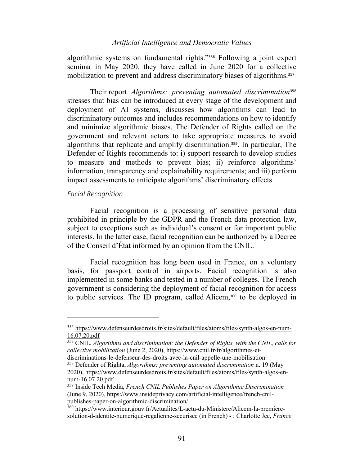algorithmic systems on fundamental rights."<sup>356</sup> Following a joint expert seminar in May 2020, they have called in June 2020 for a collective mobilization to prevent and address discriminatory biases of algorithms.<sup>357</sup>

Their report *Algorithms: preventing automated discrimination*<sup>358</sup> stresses that bias can be introduced at every stage of the development and deployment of AI systems, discusses how algorithms can lead to discriminatory outcomes and includes recommendations on how to identify and minimize algorithmic biases. The Defender of Rights called on the government and relevant actors to take appropriate measures to avoid algorithms that replicate and amplify discrimination.359. In particular, The Defender of Rights recommends to: i) support research to develop studies to measure and methods to prevent bias; ii) reinforce algorithms' information, transparency and explainability requirements; and iii) perform impact assessments to anticipate algorithms' discriminatory effects.

### *Facial Recognition*

Facial recognition is a processing of sensitive personal data prohibited in principle by the GDPR and the French data protection law, subject to exceptions such as individual's consent or for important public interests. In the latter case, facial recognition can be authorized by a Decree of the Conseil d'État informed by an opinion from the CNIL.

Facial recognition has long been used in France, on a voluntary basis, for passport control in airports. Facial recognition is also implemented in some banks and tested in a number of colleges. The French government is considering the deployment of facial recognition for access to public services. The ID program, called Alicem, <sup>360</sup> to be deployed in

<sup>356</sup> https://www.defenseurdesdroits.fr/sites/default/files/atoms/files/synth-algos-en-num-16.07.20.pdf

<sup>357</sup> CNIL, *Algorithms and discrimination: the Defender of Rights, with the CNIL, calls for collective mobilization* (June 2, 2020), https://www.cnil.fr/fr/algorithmes-et-

discriminations-le-defenseur-des-droits-avec-la-cnil-appelle-une-mobilisation

<sup>358</sup> Defender of Righta, *Algorithms: preventing automated discrimination* n. 19 (May 2020), https://www.defenseurdesdroits.fr/sites/default/files/atoms/files/synth-algos-ennum-16.07.20.pdf.

<sup>359</sup> Inside Tech Media, *French CNIL Publishes Paper on Algorithmic Discrimination* (June 9, 2020), https://www.insideprivacy.com/artificial-intelligence/french-cnilpublishes-paper-on-algorithmic-discrimination/

<sup>360</sup> https://www.interieur.gouv.fr/Actualites/L-actu-du-Ministere/Alicem-la-premieresolution-d-identite-numerique-regalienne-securisee (in French) - ; Charlotte Jee, *France*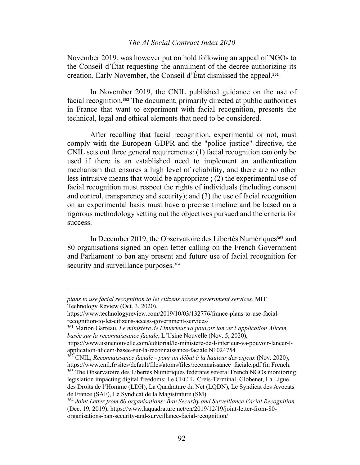November 2019, was however put on hold following an appeal of NGOs to the Conseil d'État requesting the annulment of the decree authorizing its creation. Early November, the Conseil d'État dismissed the appeal. 361

In November 2019, the CNIL published guidance on the use of facial recognition.<sup>362</sup> The document, primarily directed at public authorities in France that want to experiment with facial recognition, presents the technical, legal and ethical elements that need to be considered.

After recalling that facial recognition, experimental or not, must comply with the European GDPR and the "police justice" directive, the CNIL sets out three general requirements: (1) facial recognition can only be used if there is an established need to implement an authentication mechanism that ensures a high level of reliability, and there are no other less intrusive means that would be appropriate ; (2) the experimental use of facial recognition must respect the rights of individuals (including consent and control, transparency and security); and (3) the use of facial recognition on an experimental basis must have a precise timeline and be based on a rigorous methodology setting out the objectives pursued and the criteria for success.

In December 2019, the Observatoire des Libertés Numériques<sup>363</sup> and 80 organisations signed an open letter calling on the French Government and Parliament to ban any present and future use of facial recognition for security and surveillance purposes.<sup>364</sup>

*plans to use facial recognition to let citizens access government services,* MIT Technology Review (Oct. 3, 2020),

https://www.technologyreview.com/2019/10/03/132776/france-plans-to-use-facialrecognition-to-let-citizens-access-government-services/

<sup>361</sup> Marion Garreau, *Le ministère de l'Intérieur va pouvoir lancer l'application Alicem, basée sur la reconnaissance faciale*, L'Usine Nouvelle (Nov. 5, 2020),

https://www.usinenouvelle.com/editorial/le-ministere-de-l-interieur-va-pouvoir-lancer-lapplication-alicem-basee-sur-la-reconnaissance-faciale.N1024754

<sup>362</sup> CNIL, *Reconnaissance faciale - pour un débat à la hauteur des enjeux* (Nov. 2020), https://www.cnil.fr/sites/default/files/atoms/files/reconnaissance\_faciale.pdf (in French. <sup>363</sup> The Observatoire des Libertés Numériques federates several French NGOs monitoring legislation impacting digital freedoms: Le CECIL, Creis-Terminal, Globenet, La Ligue des Droits de l'Homme (LDH), La Quadrature du Net (LQDN), Le Syndicat des Avocats de France (SAF), Le Syndicat de la Magistrature (SM).

<sup>364</sup> *Joint Letter from 80 organisations: Ban Security and Surveillance Facial Recognition* (Dec. 19, 2019), https://www.laquadrature.net/en/2019/12/19/joint-letter-from-80 organisations-ban-security-and-surveillance-facial-recognition/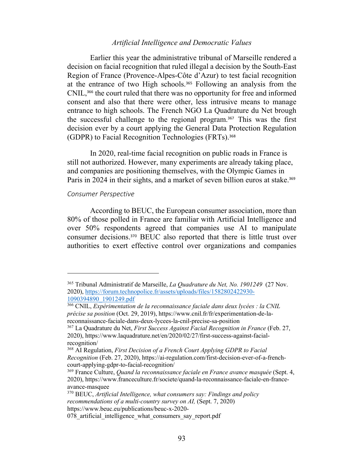Earlier this year the administrative tribunal of Marseille rendered a decision on facial recognition that ruled illegal a decision by the South-East Region of France (Provence-Alpes-Côte d'Azur) to test facial recognition at the entrance of two High schools.<sup>365</sup> Following an analysis from the CNIL,<sup>366</sup> the court ruled that there was no opportunity for free and informed consent and also that there were other, less intrusive means to manage entrance to high schools. The French NGO La Quadrature du Net brough the successful challenge to the regional program.<sup>367</sup> This was the first decision ever by a court applying the General Data Protection Regulation (GDPR) to Facial Recognition Technologies (FRTs).<sup>368</sup>

In 2020, real-time facial recognition on public roads in France is still not authorized. However, many experiments are already taking place, and companies are positioning themselves, with the Olympic Games in Paris in 2024 in their sights, and a market of seven billion euros at stake.<sup>369</sup>

### *Consumer Perspective*

According to BEUC, the European consumer association, more than 80% of those polled in France are familiar with Artificial Intelligence and over 50% respondents agreed that companies use AI to manipulate consumer decisions.<sup>370</sup> BEUC also reported that there is little trust over authorities to exert effective control over organizations and companies

<sup>365</sup> Tribunal Administratif de Marseille, *La Quadrature du Net, No. 1901249* (27 Nov. 2020), https://forum.technopolice.fr/assets/uploads/files/1582802422930- 1090394890\_1901249.pdf

<sup>366</sup> CNIL, *Expérimentation de la reconnaissance faciale dans deux lycées : la CNIL précise sa position* (Oct. 29, 2019), https://www.cnil.fr/fr/experimentation-de-lareconnaissance-faciale-dans-deux-lycees-la-cnil-precise-sa-position

<sup>367</sup> La Quadrature du Net, *First Success Against Facial Recognition in France* (Feb. 27, 2020), https://www.laquadrature.net/en/2020/02/27/first-success-against-facialrecognition/

<sup>368</sup> AI Regulation, *First Decision of a French Court Applying GDPR to Facial Recognition* (Feb. 27, 2020), https://ai-regulation.com/first-decision-ever-of-a-frenchcourt-applying-gdpr-to-facial-recognition/

<sup>369</sup> France Culture, *Quand la reconnaissance faciale en France avance masquée* (Sept. 4, 2020), https://www.franceculture.fr/societe/quand-la-reconnaissance-faciale-en-franceavance-masquee

<sup>370</sup> BEUC, *Artificial Intelligence, what consumers say: Findings and policy recommendations of a multi-country survey on AI, (Sept. 7, 2020)* https://www.beuc.eu/publications/beuc-x-2020-

<sup>078</sup> artificial intelligence what consumers say report.pdf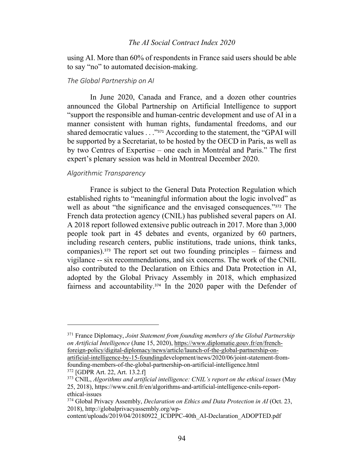using AI. More than 60% of respondents in France said users should be able to say "no" to automated decision-making.

#### *The Global Partnership on AI*

In June 2020, Canada and France, and a dozen other countries announced the Global Partnership on Artificial Intelligence to support "support the responsible and human-centric development and use of AI in a manner consistent with human rights, fundamental freedoms, and our shared democratic values . . ."<sup>371</sup> According to the statement, the "GPAI will be supported by a Secretariat, to be hosted by the OECD in Paris, as well as by two Centres of Expertise – one each in Montréal and Paris." The first expert's plenary session was held in Montreal December 2020.

# *Algorithmic Transparency*

France is subject to the General Data Protection Regulation which established rights to "meaningful information about the logic involved" as well as about "the significance and the envisaged consequences."<sup>372</sup> The French data protection agency (CNIL) has published several papers on AI. A 2018 report followed extensive public outreach in 2017. More than 3,000 people took part in 45 debates and events, organized by 60 partners, including research centers, public institutions, trade unions, think tanks, companies).<sup>373</sup> The report set out two founding principles – fairness and vigilance -- six recommendations, and six concerns. The work of the CNIL also contributed to the Declaration on Ethics and Data Protection in AI, adopted by the Global Privacy Assembly in 2018, which emphasized fairness and accountability. <sup>374</sup> In the 2020 paper with the Defender of

founding-members-of-the-global-partnership-on-artificial-intelligence.html <sup>372</sup> [GDPR Art. 22, Art. 13.2.f]

<sup>371</sup> France Diplomacy, *Joint Statement from founding members of the Global Partnership on Artificial Intelligence* (June 15, 2020), https://www.diplomatie.gouv.fr/en/frenchforeign-policy/digital-diplomacy/news/article/launch-of-the-global-partnership-onartificial-intelligence-by-15-foundingdevelopment/news/2020/06/joint-statement-from-

<sup>373</sup> CNIL, *Algorithms and artificial intelligence: CNIL's report on the ethical issues* (May 25, 2018), https://www.cnil.fr/en/algorithms-and-artificial-intelligence-cnils-reportethical-issues

<sup>&</sup>lt;sup>374</sup> Global Privacy Assembly, *Declaration on Ethics and Data Protection in AI* (Oct. 23, 2018), http://globalprivacyassembly.org/wp-

content/uploads/2019/04/20180922\_ICDPPC-40th\_AI-Declaration\_ADOPTED.pdf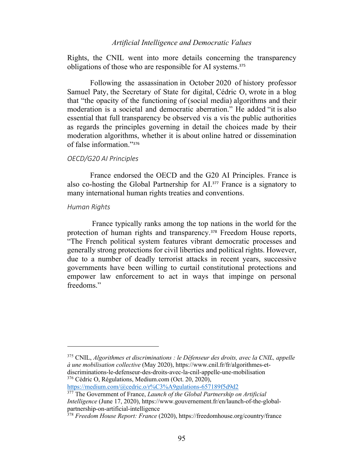Rights, the CNIL went into more details concerning the transparency obligations of those who are responsible for AI systems.<sup>375</sup>

Following the assassination in October 2020 of history professor Samuel Paty, the Secretary of State for digital, Cédric O, wrote in a blog that "the opacity of the functioning of (social media) algorithms and their moderation is a societal and democratic aberration." He added "it is also essential that full transparency be observed vis a vis the public authorities as regards the principles governing in detail the choices made by their moderation algorithms, whether it is about online hatred or dissemination of false information."<sup>376</sup>

#### *OECD/G20 AI Principles*

France endorsed the OECD and the G20 AI Principles. France is also co-hosting the Global Partnership for AI.<sup>377</sup> France is a signatory to many international human rights treaties and conventions.

#### *Human Rights*

France typically ranks among the top nations in the world for the protection of human rights and transparency.<sup>378</sup> Freedom House reports, "The French political system features vibrant democratic processes and generally strong protections for civil liberties and political rights. However, due to a number of deadly terrorist attacks in recent years, successive governments have been willing to curtail constitutional protections and empower law enforcement to act in ways that impinge on personal freedoms."

<sup>375</sup> CNIL, *Algorithmes et discriminations : le Défenseur des droits, avec la CNIL, appelle à une mobilisation collective* (May 2020), https://www.cnil.fr/fr/algorithmes-etdiscriminations-le-defenseur-des-droits-avec-la-cnil-appelle-une-mobilisation <sup>376</sup> Cédric O, Régulations, Medium.com (Oct. 20, 2020),

https://medium.com/@cedric.o/r%C3%A9gulations-657189f5d9d2

<sup>377</sup> The Government of France, *Launch of the Global Partnership on Artificial Intelligence* (June 17, 2020), https://www.gouvernement.fr/en/launch-of-the-globalpartnership-on-artificial-intelligence

<sup>378</sup> *Freedom House Report: France* (2020), https://freedomhouse.org/country/france